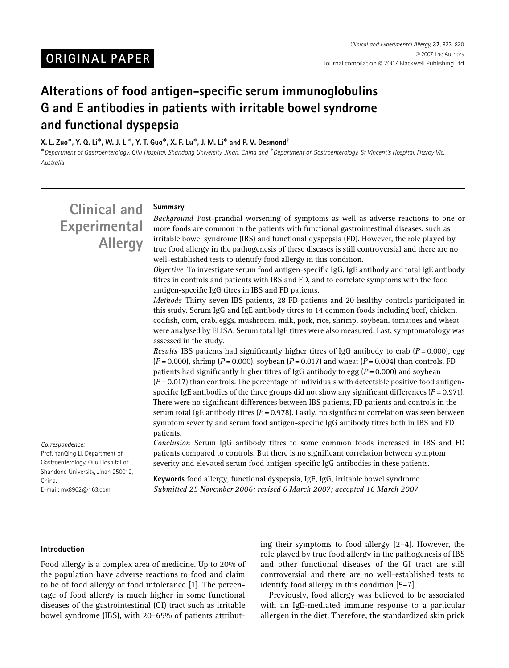## ORIGINAL PAPER

## Alterations of food antigen-specific serum immunoglobulins G and E antibodies in patients with irritable bowel syndrome and functional dyspepsia

## X. L. Zuo\*, Y. Q. Li\*, W. J. Li\*, Y. T. Guo\*, X. F. Lu\*, J. M. Li\* and P. V. Desmond<sup>†</sup>

 $^\ast$ Department of Gastroenterology, Qilu Hospital, Shandong University, Jinan, China and  $^\dagger$ Department of Gastroenterology, St Vincent's Hospital, Fitzroy Vic., Australia

# Clinical and Experimental Allergy

## Summary

Background Post-prandial worsening of symptoms as well as adverse reactions to one or more foods are common in the patients with functional gastrointestinal diseases, such as irritable bowel syndrome (IBS) and functional dyspepsia (FD). However, the role played by true food allergy in the pathogenesis of these diseases is still controversial and there are no well-established tests to identify food allergy in this condition.

Objective To investigate serum food antigen-specific IgG, IgE antibody and total IgE antibody titres in controls and patients with IBS and FD, and to correlate symptoms with the food antigen-specific IgG titres in IBS and FD patients.

Methods Thirty-seven IBS patients, 28 FD patients and 20 healthy controls participated in this study. Serum IgG and IgE antibody titres to 14 common foods including beef, chicken, codfish, corn, crab, eggs, mushroom, milk, pork, rice, shrimp, soybean, tomatoes and wheat were analysed by ELISA. Serum total IgE titres were also measured. Last, symptomatology was assessed in the study.

Results IBS patients had significantly higher titres of IgG antibody to crab ( $P = 0.000$ ), egg  $(P = 0.000)$ , shrimp  $(P = 0.000)$ , soybean  $(P = 0.017)$  and wheat  $(P = 0.004)$  than controls. FD patients had significantly higher titres of IgG antibody to egg  $(P = 0.000)$  and soybean  $(P = 0.017)$  than controls. The percentage of individuals with detectable positive food antigenspecific IgE antibodies of the three groups did not show any significant differences  $(P = 0.971)$ . There were no significant differences between IBS patients, FD patients and controls in the serum total IgE antibody titres  $(P = 0.978)$ . Lastly, no significant correlation was seen between symptom severity and serum food antigen-specific IgG antibody titres both in IBS and FD patients.

Conclusion Serum IgG antibody titres to some common foods increased in IBS and FD patients compared to controls. But there is no significant correlation between symptom severity and elevated serum food antigen-specific IgG antibodies in these patients.

Keywords food allergy, functional dyspepsia, IgE, IgG, irritable bowel syndrome Submitted 25 November 2006; revised 6 March 2007; accepted 16 March 2007

#### Correspondence:

Prof. YanQing Li, Department of Gastroenterology, Qilu Hospital of Shandong University, Jinan 250012, China. E-mail: mx8902@163.com

Introduction

Food allergy is a complex area of medicine. Up to 20% of the population have adverse reactions to food and claim to be of food allergy or food intolerance [1]. The percentage of food allergy is much higher in some functional diseases of the gastrointestinal (GI) tract such as irritable bowel syndrome (IBS), with 20–65% of patients attributing their symptoms to food allergy [2–4]. However, the role played by true food allergy in the pathogenesis of IBS and other functional diseases of the GI tract are still controversial and there are no well-established tests to identify food allergy in this condition [5–7].

Previously, food allergy was believed to be associated with an IgE-mediated immune response to a particular allergen in the diet. Therefore, the standardized skin prick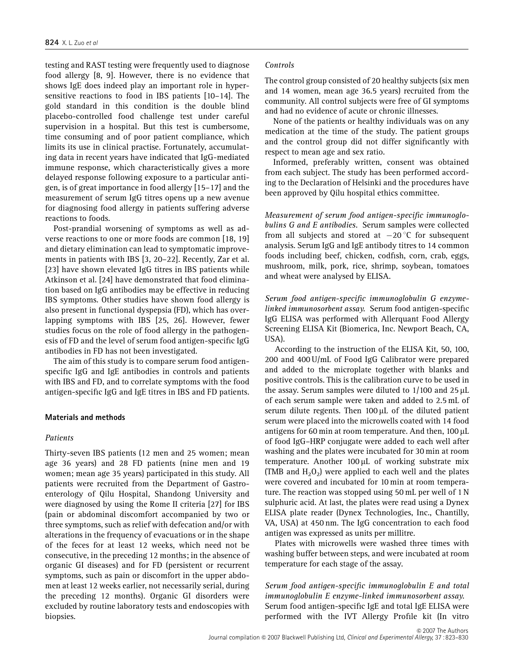testing and RAST testing were frequently used to diagnose food allergy [8, 9]. However, there is no evidence that shows IgE does indeed play an important role in hypersensitive reactions to food in IBS patients [10–14]. The gold standard in this condition is the double blind placebo-controlled food challenge test under careful supervision in a hospital. But this test is cumbersome, time consuming and of poor patient compliance, which limits its use in clinical practise. Fortunately, accumulating data in recent years have indicated that IgG-mediated immune response, which characteristically gives a more delayed response following exposure to a particular antigen, is of great importance in food allergy [15–17] and the measurement of serum IgG titres opens up a new avenue for diagnosing food allergy in patients suffering adverse reactions to foods.

Post-prandial worsening of symptoms as well as adverse reactions to one or more foods are common [18, 19] and dietary elimination can lead to symptomatic improvements in patients with IBS [3, 20–22]. Recently, Zar et al. [23] have shown elevated IgG titres in IBS patients while Atkinson et al. [24] have demonstrated that food elimination based on IgG antibodies may be effective in reducing IBS symptoms. Other studies have shown food allergy is also present in functional dyspepsia (FD), which has overlapping symptoms with IBS [25, 26]. However, fewer studies focus on the role of food allergy in the pathogenesis of FD and the level of serum food antigen-specific IgG antibodies in FD has not been investigated.

The aim of this study is to compare serum food antigenspecific IgG and IgE antibodies in controls and patients with IBS and FD, and to correlate symptoms with the food antigen-specific IgG and IgE titres in IBS and FD patients.

#### Materials and methods

#### Patients

Thirty-seven IBS patients (12 men and 25 women; mean age 36 years) and 28 FD patients (nine men and 19 women; mean age 35 years) participated in this study. All patients were recruited from the Department of Gastroenterology of Qilu Hospital, Shandong University and were diagnosed by using the Rome II criteria [27] for IBS (pain or abdominal discomfort accompanied by two or three symptoms, such as relief with defecation and/or with alterations in the frequency of evacuations or in the shape of the feces for at least 12 weeks, which need not be consecutive, in the preceding 12 months; in the absence of organic GI diseases) and for FD (persistent or recurrent symptoms, such as pain or discomfort in the upper abdomen at least 12 weeks earlier, not necessarily serial, during the preceding 12 months). Organic GI disorders were excluded by routine laboratory tests and endoscopies with biopsies.

## Controls

The control group consisted of 20 healthy subjects (six men and 14 women, mean age 36.5 years) recruited from the community. All control subjects were free of GI symptoms and had no evidence of acute or chronic illnesses.

None of the patients or healthy individuals was on any medication at the time of the study. The patient groups and the control group did not differ significantly with respect to mean age and sex ratio.

Informed, preferably written, consent was obtained from each subject. The study has been performed according to the Declaration of Helsinki and the procedures have been approved by Qilu hospital ethics committee.

Measurement of serum food antigen-specific immunoglobulins G and E antibodies. Serum samples were collected from all subjects and stored at  $-20$  °C for subsequent analysis. Serum IgG and IgE antibody titres to 14 common foods including beef, chicken, codfish, corn, crab, eggs, mushroom, milk, pork, rice, shrimp, soybean, tomatoes and wheat were analysed by ELISA.

Serum food antigen-specific immunoglobulin G enzymelinked immunosorbent assay. Serum food antigen-specific IgG ELISA was performed with Allerquant Food Allergy Screening ELISA Kit (Biomerica, Inc. Newport Beach, CA, USA).

According to the instruction of the ELISA Kit, 50, 100, 200 and 400 U/mL of Food IgG Calibrator were prepared and added to the microplate together with blanks and positive controls. This is the calibration curve to be used in the assay. Serum samples were diluted to  $1/100$  and  $25 \mu L$ of each serum sample were taken and added to 2.5 mL of serum dilute regents. Then  $100 \mu L$  of the diluted patient serum were placed into the microwells coated with 14 food antigens for 60 min at room temperature. And then,  $100 \mu L$ of food IgG–HRP conjugate were added to each well after washing and the plates were incubated for 30 min at room temperature. Another  $100 \mu L$  of working substrate mix (TMB and  $H_2O_2$ ) were applied to each well and the plates were covered and incubated for 10 min at room temperature. The reaction was stopped using 50 mL per well of 1 N sulphuric acid. At last, the plates were read using a Dynex ELISA plate reader (Dynex Technologies, Inc., Chantilly, VA, USA) at 450 nm. The IgG concentration to each food antigen was expressed as units per millitre.

Plates with microwells were washed three times with washing buffer between steps, and were incubated at room temperature for each stage of the assay.

Serum food antigen-specific immunoglobulin E and total immunoglobulin E enzyme-linked immunosorbent assay. Serum food antigen-specific IgE and total IgE ELISA were performed with the IVT Allergy Profile kit (In vitro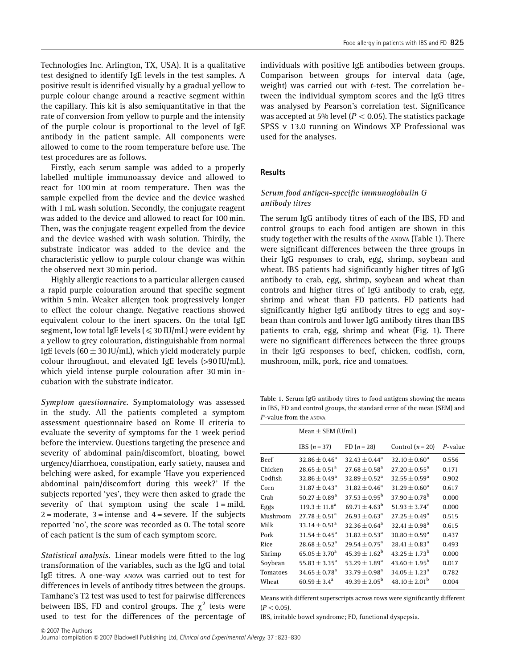Technologies Inc. Arlington, TX, USA). It is a qualitative test designed to identify IgE levels in the test samples. A positive result is identified visually by a gradual yellow to purple colour change around a reactive segment within the capillary. This kit is also semiquantitative in that the rate of conversion from yellow to purple and the intensity of the purple colour is proportional to the level of IgE antibody in the patient sample. All components were allowed to come to the room temperature before use. The test procedures are as follows.

Firstly, each serum sample was added to a properly labelled multiple immunoassay device and allowed to react for 100 min at room temperature. Then was the sample expelled from the device and the device washed with 1 mL wash solution. Secondly, the conjugate reagent was added to the device and allowed to react for 100 min. Then, was the conjugate reagent expelled from the device and the device washed with wash solution. Thirdly, the substrate indicator was added to the device and the characteristic yellow to purple colour change was within the observed next 30 min period.

Highly allergic reactions to a particular allergen caused a rapid purple colouration around that specific segment within 5 min. Weaker allergen took progressively longer to effect the colour change. Negative reactions showed equivalent colour to the inert spacers. On the total IgE segment, low total IgE levels  $\leq$  30 IU/mL) were evident by a yellow to grey colouration, distinguishable from normal IgE levels (60  $\pm$  30 IU/mL), which yield moderately purple colour throughout, and elevated IgE levels (>90 IU/mL), which yield intense purple colouration after 30 min incubation with the substrate indicator.

Symptom questionnaire. Symptomatology was assessed in the study. All the patients completed a symptom assessment questionnaire based on Rome II criteria to evaluate the severity of symptoms for the 1 week period before the interview. Questions targeting the presence and severity of abdominal pain/discomfort, bloating, bowel urgency/diarrhoea, constipation, early satiety, nausea and belching were asked, for example 'Have you experienced abdominal pain/discomfort during this week?' If the subjects reported 'yes', they were then asked to grade the severity of that symptom using the scale  $1 = \text{mild}$ ,  $2 =$  moderate,  $3 =$  intense and  $4 =$  severe. If the subjects reported 'no', the score was recorded as 0. The total score of each patient is the sum of each symptom score.

Statistical analysis. Linear models were fitted to the log transformation of the variables, such as the IgG and total IgE titres. A one-way ANOVA was carried out to test for differences in levels of antibody titres between the groups. Tamhane's T2 test was used to test for pairwise differences between IBS, FD and control groups. The  $\chi^2$  tests were used to test for the differences of the percentage of individuals with positive IgE antibodies between groups. Comparison between groups for interval data (age, weight) was carried out with t-test. The correlation between the individual symptom scores and the IgG titres was analysed by Pearson's correlation test. Significance was accepted at 5% level ( $P < 0.05$ ). The statistics package SPSS v 13.0 running on Windows XP Professional was used for the analyses.

## Results

## Serum food antigen-specific immunoglobulin G antibody titres

The serum IgG antibody titres of each of the IBS, FD and control groups to each food antigen are shown in this study together with the results of the ANOVA (Table 1). There were significant differences between the three groups in their IgG responses to crab, egg, shrimp, soybean and wheat. IBS patients had significantly higher titres of IgG antibody to crab, egg, shrimp, soybean and wheat than controls and higher titres of IgG antibody to crab, egg, shrimp and wheat than FD patients. FD patients had significantly higher IgG antibody titres to egg and soybean than controls and lower IgG antibody titres than IBS patients to crab, egg, shrimp and wheat (Fig. 1). There were no significant differences between the three groups in their IgG responses to beef, chicken, codfish, corn, mushroom, milk, pork, rice and tomatoes.

Table 1. Serum IgG antibody titres to food antigens showing the means in IBS, FD and control groups, the standard error of the mean (SEM) and P-value from the ANOVA

|             | Mean $\pm$ SEM (U/mL)         |                               |                             |         |
|-------------|-------------------------------|-------------------------------|-----------------------------|---------|
|             | IBS $(n = 37)$                | FD $(n = 28)$                 | Control $(n=20)$            | P-value |
| <b>Beef</b> | $32.86 \pm 0.46^a$            | $32.43 \pm 0.44^a$            | $32.10 \pm 0.60^a$          | 0.556   |
| Chicken     | $28.65 \pm 0.51^a$            | $27.68 \pm 0.58^{\text{a}}$   | $27.20 \pm 0.55^{\text{a}}$ | 0.171   |
| Codfish     | $32.86 \pm 0.49^a$            | $32.89 + 0.52^a$              | $32.55 \pm 0.59^a$          | 0.902   |
| Corn        | $31.87 + 0.43^a$              | $31.82 + 0.46^a$              | $31.29 + 0.60^a$            | 0.617   |
| Crab        | $50.27 + 0.89^a$              | $37.53 \pm 0.95^{\rm b}$      | $37.90 + 0.78^b$            | 0.000   |
| Eggs        | $119.3 \pm 11.8^a$            | 69.71 $\pm$ 4.63 <sup>b</sup> | $51.93 + 3.74^c$            | 0.000   |
| Mushroom    | $27.78 + 0.51^a$              | $26.93 \pm 0.63^{\circ}$      | $27.25 + 0.49^a$            | 0.515   |
| Milk        | 33.14 $\pm$ 0.51 <sup>a</sup> | $32.36 \pm 0.64^a$            | $32.41 \pm 0.98^{\text{a}}$ | 0.615   |
| Pork        | $31.54 \pm 0.45^{\text{a}}$   | $31.82 \pm 0.53^{\text{a}}$   | $30.80 \pm 0.59^{\text{a}}$ | 0.437   |
| Rice        | $28.68 \pm 0.52^{\rm a}$      | $29.54 \pm 0.75^{\text{a}}$   | $28.41 \pm 0.83^{\text{a}}$ | 0.493   |
| Shrimp      | $65.05 \pm 3.70^a$            | $45.39 \pm 1.62^{\rm b}$      | $43.25 \pm 1.73^{\rm b}$    | 0.000   |
| Soybean     | $55.83 + 3.35^a$              | $53.29 + 1.89^a$              | $43.60 \pm 1.95^{\rm b}$    | 0.017   |
| Tomatoes    | $34.65 \pm 0.78^{\text{a}}$   | $33.79 \pm 0.98^a$            | $34.05 + 1.23^a$            | 0.782   |
| Wheat       | $60.59 \pm 3.4^\text{a}$      | $49.39 + 2.05^{b}$            | $48.10 \pm 2.01^{\rm b}$    | 0.004   |

Means with different superscripts across rows were significantly different  $(P < 0.05)$ .

IBS, irritable bowel syndrome; FD, functional dyspepsia.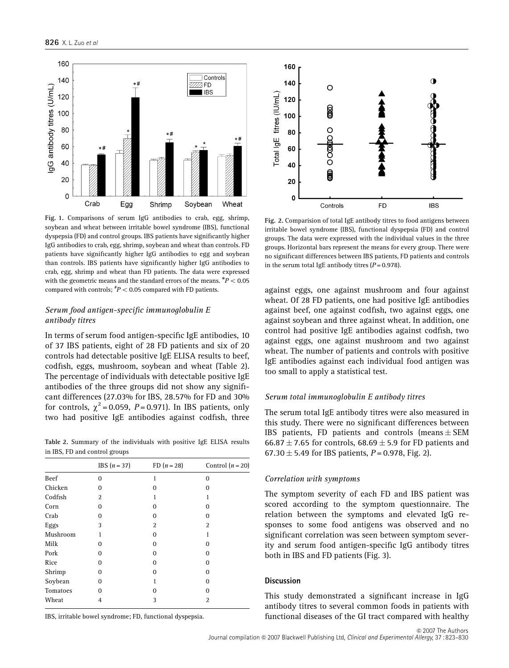

Fig. 1. Comparisons of serum IgG antibodies to crab, egg, shrimp, soybean and wheat between irritable bowel syndrome (IBS), functional dyspepsia (FD) and control groups. IBS patients have significantly higher IgG antibodies to crab, egg, shrimp, soybean and wheat than controls. FD patients have significantly higher IgG antibodies to egg and soybean than controls. IBS patients have significantly higher IgG antibodies to crab, egg, shrimp and wheat than FD patients. The data were expressed with the geometric means and the standard errors of the means.  $^{*}P$  < 0.05 compared with controls;  $^{*}P$  < 0.05 compared with FD patients.

## Serum food antigen-specific immunoglobulin E antibody titres

In terms of serum food antigen-specific IgE antibodies, 10 of 37 IBS patients, eight of 28 FD patients and six of 20 controls had detectable positive IgE ELISA results to beef, codfish, eggs, mushroom, soybean and wheat (Table 2). The percentage of individuals with detectable positive IgE antibodies of the three groups did not show any significant differences (27.03% for IBS, 28.57% for FD and 30% for controls,  $\chi^2$  = 0.059, P = 0.971). In IBS patients, only two had positive IgE antibodies against codfish, three

Table 2. Summary of the individuals with positive IgE ELISA results in IBS, FD and control groups

|          | IBS $(n = 37)$ | FD $(n = 28)$ | Control $(n = 20)$ |
|----------|----------------|---------------|--------------------|
| Beef     | $\Omega$       | 1             | $\Omega$           |
| Chicken  | $\Omega$       | $\Omega$      | $\Omega$           |
| Codfish  | 2              | 1             |                    |
| Corn     | $\Omega$       | 0             | 0                  |
| Crab     | $\Omega$       | $\Omega$      | 0                  |
| Eggs     | 3              | 2             | 2                  |
| Mushroom | 1              | $\Omega$      | 1                  |
| Milk     | 0              | 0             | 0                  |
| Pork     | $\Omega$       | $\Omega$      | 0                  |
| Rice     | $\Omega$       | 0             | $\Omega$           |
| Shrimp   | $\Omega$       | 0             | 0                  |
| Soybean  | $\Omega$       | 1             | 0                  |
| Tomatoes | $\Omega$       | 0             | $\Omega$           |
| Wheat    | 4              | 3             | $\mathfrak{D}$     |

IBS, irritable bowel syndrome; FD, functional dyspepsia.

160  $\bigcap$ 140  $\Omega$ Total IgE titres (IU/mL) 120 100 Ō 80 000000 60 40 20  $\mathbf 0$ **IBS** Controls FD.

Fig. 2. Comparision of total IgE antibody titres to food antigens between irritable bowel syndrome (IBS), functional dyspepsia (FD) and control groups. The data were expressed with the individual values in the three groups. Horizontal bars represent the means for every group. There were no significant differences between IBS patients, FD patients and controls in the serum total IgE antibody titres  $(P = 0.978)$ .

against eggs, one against mushroom and four against wheat. Of 28 FD patients, one had positive IgE antibodies against beef, one against codfish, two against eggs, one against soybean and three against wheat. In addition, one control had positive IgE antibodies against codfish, two against eggs, one against mushroom and two against wheat. The number of patients and controls with positive IgE antibodies against each individual food antigen was too small to apply a statistical test.

#### Serum total immunoglobulin E antibody titres

The serum total IgE antibody titres were also measured in this study. There were no significant differences between IBS patients, FD patients and controls (means  $\pm$  SEM 66.87  $\pm$  7.65 for controls, 68.69  $\pm$  5.9 for FD patients and 67.30  $\pm$  5.49 for IBS patients, *P* = 0.978, Fig. 2).

### Correlation with symptoms

The symptom severity of each FD and IBS patient was scored according to the symptom questionnaire. The relation between the symptoms and elevated IgG responses to some food antigens was observed and no significant correlation was seen between symptom severity and serum food antigen-specific IgG antibody titres both in IBS and FD patients (Fig. 3).

#### **Discussion**

This study demonstrated a significant increase in IgG antibody titres to several common foods in patients with functional diseases of the GI tract compared with healthy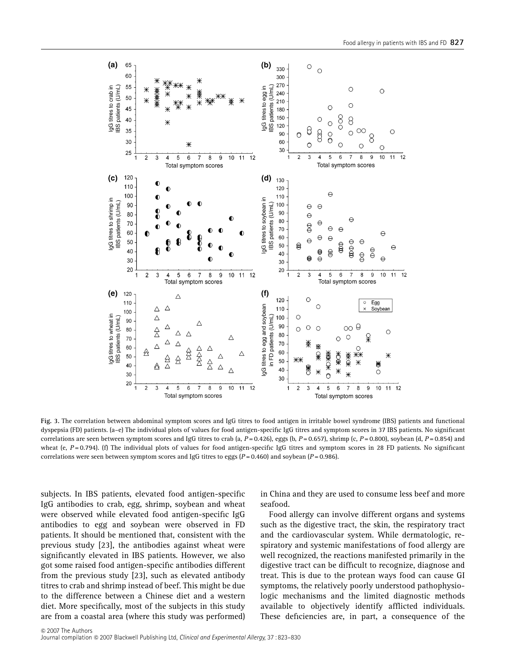

Fig. 3. The correlation between abdominal symptom scores and IgG titres to food antigen in irritable bowel syndrome (IBS) patients and functional dyspepsia (FD) patients. (a–e) The individual plots of values for food antigen-specific IgG titres and symptom scores in 37 IBS patients. No significant correlations are seen between symptom scores and IgG titres to crab (a,  $P = 0.426$ ), eggs (b,  $P = 0.657$ ), shrimp (c,  $P = 0.800$ ), soybean (d,  $P = 0.854$ ) and wheat (e,  $P = 0.794$ ). (f) The individual plots of values for food antigen-specific IgG titres and symptom scores in 28 FD patients. No significant correlations were seen between symptom scores and IgG titres to eggs  $(P = 0.460)$  and soybean  $(P = 0.986)$ .

subjects. In IBS patients, elevated food antigen-specific IgG antibodies to crab, egg, shrimp, soybean and wheat were observed while elevated food antigen-specific IgG antibodies to egg and soybean were observed in FD patients. It should be mentioned that, consistent with the previous study [23], the antibodies against wheat were significantly elevated in IBS patients. However, we also got some raised food antigen-specific antibodies different from the previous study [23], such as elevated antibody titres to crab and shrimp instead of beef. This might be due to the difference between a Chinese diet and a western diet. More specifically, most of the subjects in this study are from a coastal area (where this study was performed)

in China and they are used to consume less beef and more seafood.

Food allergy can involve different organs and systems such as the digestive tract, the skin, the respiratory tract and the cardiovascular system. While dermatologic, respiratory and systemic manifestations of food allergy are well recognized, the reactions manifested primarily in the digestive tract can be difficult to recognize, diagnose and treat. This is due to the protean ways food can cause GI symptoms, the relatively poorly understood pathophysiologic mechanisms and the limited diagnostic methods available to objectively identify afflicted individuals. These deficiencies are, in part, a consequence of the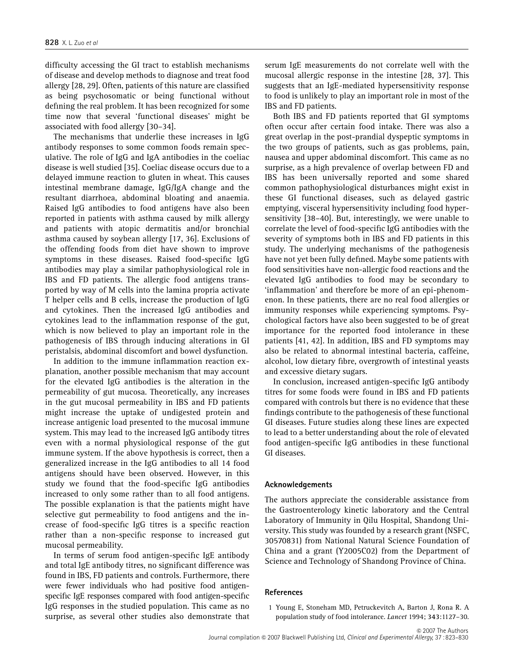difficulty accessing the GI tract to establish mechanisms of disease and develop methods to diagnose and treat food allergy [28, 29]. Often, patients of this nature are classified as being psychosomatic or being functional without defining the real problem. It has been recognized for some time now that several 'functional diseases' might be associated with food allergy [30–34].

The mechanisms that underlie these increases in IgG antibody responses to some common foods remain speculative. The role of IgG and IgA antibodies in the coeliac disease is well studied [35]. Coeliac disease occurs due to a delayed immune reaction to gluten in wheat. This causes intestinal membrane damage, IgG/IgA change and the resultant diarrhoea, abdominal bloating and anaemia. Raised IgG antibodies to food antigens have also been reported in patients with asthma caused by milk allergy and patients with atopic dermatitis and/or bronchial asthma caused by soybean allergy [17, 36]. Exclusions of the offending foods from diet have shown to improve symptoms in these diseases. Raised food-specific IgG antibodies may play a similar pathophysiological role in IBS and FD patients. The allergic food antigens transported by way of M cells into the lamina propria activate T helper cells and B cells, increase the production of IgG and cytokines. Then the increased IgG antibodies and cytokines lead to the inflammation response of the gut, which is now believed to play an important role in the pathogenesis of IBS through inducing alterations in GI peristalsis, abdominal discomfort and bowel dysfunction.

In addition to the immune inflammation reaction explanation, another possible mechanism that may account for the elevated IgG antibodies is the alteration in the permeability of gut mucosa. Theoretically, any increases in the gut mucosal permeability in IBS and FD patients might increase the uptake of undigested protein and increase antigenic load presented to the mucosal immune system. This may lead to the increased IgG antibody titres even with a normal physiological response of the gut immune system. If the above hypothesis is correct, then a generalized increase in the IgG antibodies to all 14 food antigens should have been observed. However, in this study we found that the food-specific IgG antibodies increased to only some rather than to all food antigens. The possible explanation is that the patients might have selective gut permeability to food antigens and the increase of food-specific IgG titres is a specific reaction rather than a non-specific response to increased gut mucosal permeability.

In terms of serum food antigen-specific IgE antibody and total IgE antibody titres, no significant difference was found in IBS, FD patients and controls. Furthermore, there were fewer individuals who had positive food antigenspecific IgE responses compared with food antigen-specific IgG responses in the studied population. This came as no surprise, as several other studies also demonstrate that serum IgE measurements do not correlate well with the mucosal allergic response in the intestine [28, 37]. This suggests that an IgE-mediated hypersensitivity response to food is unlikely to play an important role in most of the IBS and FD patients.

Both IBS and FD patients reported that GI symptoms often occur after certain food intake. There was also a great overlap in the post-prandial dyspeptic symptoms in the two groups of patients, such as gas problems, pain, nausea and upper abdominal discomfort. This came as no surprise, as a high prevalence of overlap between FD and IBS has been universally reported and some shared common pathophysiological disturbances might exist in these GI functional diseases, such as delayed gastric emptying, visceral hypersensitivity including food hypersensitivity [38–40]. But, interestingly, we were unable to correlate the level of food-specific IgG antibodies with the severity of symptoms both in IBS and FD patients in this study. The underlying mechanisms of the pathogenesis have not yet been fully defined. Maybe some patients with food sensitivities have non-allergic food reactions and the elevated IgG antibodies to food may be secondary to 'inflammation' and therefore be more of an epi-phenomenon. In these patients, there are no real food allergies or immunity responses while experiencing symptoms. Psychological factors have also been suggested to be of great importance for the reported food intolerance in these patients [41, 42]. In addition, IBS and FD symptoms may also be related to abnormal intestinal bacteria, caffeine, alcohol, low dietary fibre, overgrowth of intestinal yeasts and excessive dietary sugars.

In conclusion, increased antigen-specific IgG antibody titres for some foods were found in IBS and FD patients compared with controls but there is no evidence that these findings contribute to the pathogenesis of these functional GI diseases. Future studies along these lines are expected to lead to a better understanding about the role of elevated food antigen-specific IgG antibodies in these functional GI diseases.

#### Acknowledgements

The authors appreciate the considerable assistance from the Gastroenterology kinetic laboratory and the Central Laboratory of Immunity in Qilu Hospital, Shandong University. This study was founded by a research grant (NSFC, 30570831) from National Natural Science Foundation of China and a grant (Y2005C02) from the Department of Science and Technology of Shandong Province of China.

### References

1 Young E, Stoneham MD, Petruckevitch A, Barton J, Rona R. A population study of food intolerance. Lancet 1994; 343:1127–30.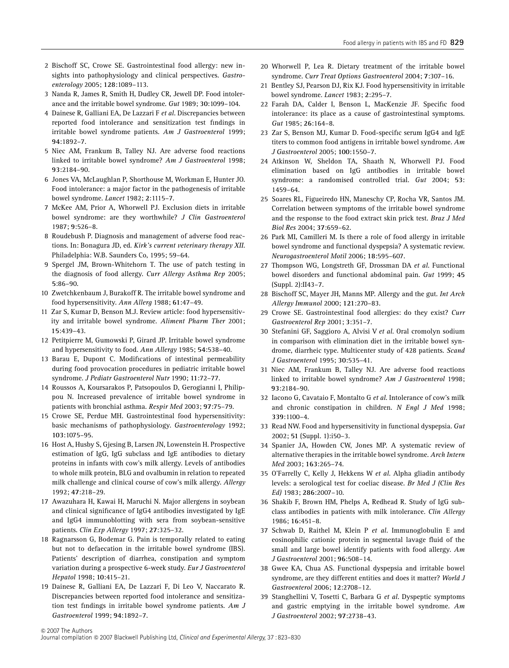- 2 Bischoff SC, Crowe SE. Gastrointestinal food allergy: new insights into pathophysiology and clinical perspectives. Gastroenterology 2005; 128:1089–113.
- 3 Nanda R, James R, Smith H, Dudley CR, Jewell DP. Food intolerance and the irritable bowel syndrome. Gut 1989; 30:1099–104.
- 4 Dainese R, Galliani EA, De Lazzari F et al. Discrepancies between reported food intolerance and sensitization test findings in irritable bowel syndrome patients. Am J Gastroenterol 1999; 94:1892–7.
- 5 Niec AM, Frankum B, Talley NJ. Are adverse food reactions linked to irritable bowel syndrome? Am J Gastroenterol 1998; 93:2184–90.
- 6 Jones VA, McLaughlan P, Shorthouse M, Workman E, Hunter JO. Food intolerance: a major factor in the pathogenesis of irritable bowel syndrome. Lancet 1982; 2:1115–7.
- 7 McKee AM, Prior A, Whorwell PJ. Exclusion diets in irritable bowel syndrome: are they worthwhile? J Clin Gastroenterol 1987; 9:526–8.
- 8 Roudebush P. Diagnosis and management of adverse food reactions. In: Bonagura JD, ed. Kirk's current veterinary therapy XII. Philadelphia: W.B. Saunders Co, 1995; 59–64.
- 9 Spergel JM, Brown-Whitehorn T. The use of patch testing in the diagnosis of food allergy. Curr Allergy Asthma Rep 2005; 5:86–90.
- 10 Zwetchkenbaum J, Burakoff R. The irritable bowel syndrome and food hypersensitivity. Ann Allerg 1988; 61:47–49.
- 11 Zar S, Kumar D, Benson M.J. Review article: food hypersensitivity and irritable bowel syndrome. Aliment Pharm Ther 2001; 15:439–43.
- 12 Petitpierre M, Gumowski P, Girard JP. Irritable bowel syndrome and hypersensitivity to food. Ann Allergy 1985; 54:538–40.
- 13 Barau E, Dupont C. Modifications of intestinal permeability during food provocation procedures in pediatric irritable bowel syndrome. J Pediatr Gastroenterol Nutr 1990; 11:72–77.
- 14 Roussos A, Koursarakos P, Patsopoulos D, Gerogianni I, Philippou N. Increased prevalence of irritable bowel syndrome in patients with bronchial asthma. Respir Med 2003; 97:75–79.
- 15 Crowe SE, Perdue MH. Gastrointestinal food hypersensitivity: basic mechanisms of pathophysiology. Gastroenterology 1992; 103:1075–95.
- 16 Host A, Husby S, Gjesing B, Larsen JN, Lowenstein H. Prospective estimation of IgG, IgG subclass and IgE antibodies to dietary proteins in infants with cow's milk allergy. Levels of antibodies to whole milk protein, BLG and ovalbumin in relation to repeated milk challenge and clinical course of cow's milk allergy. Allergy 1992; 47:218–29.
- 17 Awazuhara H, Kawai H, Maruchi N. Major allergens in soybean and clinical significance of IgG4 antibodies investigated by IgE and IgG4 immunoblotting with sera from soybean-sensitive patients. Clin Exp Allergy 1997; 27:325–32.
- 18 Ragnarsson G, Bodemar G. Pain is temporally related to eating but not to defaecation in the irritable bowel syndrome (IBS). Patients' description of diarrhea, constipation and symptom variation during a prospective 6-week study. Eur J Gastroenterol Hepatol 1998; 10:415–21.
- 19 Dainese R, Galliani EA, De Lazzari F, Di Leo V, Naccarato R. Discrepancies between reported food intolerance and sensitization test findings in irritable bowel syndrome patients. Am J Gastroenterol 1999; 94:1892–7.
- 20 Whorwell P, Lea R. Dietary treatment of the irritable bowel syndrome. Curr Treat Options Gastroenterol 2004; 7:307–16.
- 21 Bentley SJ, Pearson DJ, Rix KJ. Food hypersensitivity in irritable bowel syndrome. Lancet 1983; 2:295–7.
- 22 Farah DA, Calder I, Benson L, MacKenzie JF. Specific food intolerance: its place as a cause of gastrointestinal symptoms. Gut 1985; 26:164–8.
- 23 Zar S, Benson MJ, Kumar D. Food-specific serum IgG4 and IgE titers to common food antigens in irritable bowel syndrome. Am J Gastroenterol 2005; 100:1550–7.
- 24 Atkinson W, Sheldon TA, Shaath N, Whorwell PJ. Food elimination based on IgG antibodies in irritable bowel syndrome: a randomised controlled trial. Gut 2004; 53: 1459–64.
- 25 Soares RL, Figueiredo HN, Maneschy CP, Rocha VR, Santos JM. Correlation between symptoms of the irritable bowel syndrome and the response to the food extract skin prick test. Braz J Med Biol Res 2004; 37:659–62.
- 26 Park MI, Camilleri M. Is there a role of food allergy in irritable bowel syndrome and functional dyspepsia? A systematic review. Neurogastroenterol Motil 2006; 18:595–607.
- 27 Thompson WG, Longstreth GF, Drossman DA et al. Functional bowel disorders and functional abdominal pain. Gut 1999; 45 (Suppl. 2):II43–7.
- 28 Bischoff SC, Mayer JH, Manns MP. Allergy and the gut. Int Arch Allergy Immunol 2000; 121:270–83.
- 29 Crowe SE. Gastrointestinal food allergies: do they exist? Curr Gastroenterol Rep 2001; 3:351–7.
- 30 Stefanini GF, Saggioro A, Alvisi V et al. Oral cromolyn sodium in comparison with elimination diet in the irritable bowel syndrome, diarrheic type. Multicenter study of 428 patients. Scand J Gastroenterol 1995; 30:535–41.
- 31 Niec AM, Frankum B, Talley NJ. Are adverse food reactions linked to irritable bowel syndrome? Am J Gastroenterol 1998; 93:2184–90.
- 32 Iacono G, Cavataio F, Montalto G et al. Intolerance of cow's milk and chronic constipation in children. N Engl J Med 1998; 339:1100–4.
- 33 Read NW. Food and hypersensitivity in functional dyspepsia. Gut 2002; 51 (Suppl. 1):i50–3.
- 34 Spanier JA, Howden CW, Jones MP. A systematic review of alternative therapies in the irritable bowel syndrome. Arch Intern Med 2003; 163:265–74.
- 35 O'Farrelly C, Kelly J, Hekkens W et al. Alpha gliadin antibody levels: a serological test for coeliac disease. Br Med J (Clin Res Ed) 1983; 286:2007–10.
- 36 Shakib F, Brown HM, Phelps A, Redhead R. Study of IgG subclass antibodies in patients with milk intolerance. Clin Allergy 1986; 16:451–8.
- 37 Schwab D, Raithel M, Klein P et al. Immunoglobulin E and eosinophilic cationic protein in segmental lavage fluid of the small and large bowel identify patients with food allergy. Am J Gastroenterol 2001; 96:508–14.
- 38 Gwee KA, Chua AS. Functional dyspepsia and irritable bowel syndrome, are they different entities and does it matter? World J Gastroenterol 2006; 12:2708–12.
- 39 Stanghellini V, Tosetti C, Barbara G et al. Dyspeptic symptoms and gastric emptying in the irritable bowel syndrome. Am J Gastroenterol 2002; 97:2738–43.